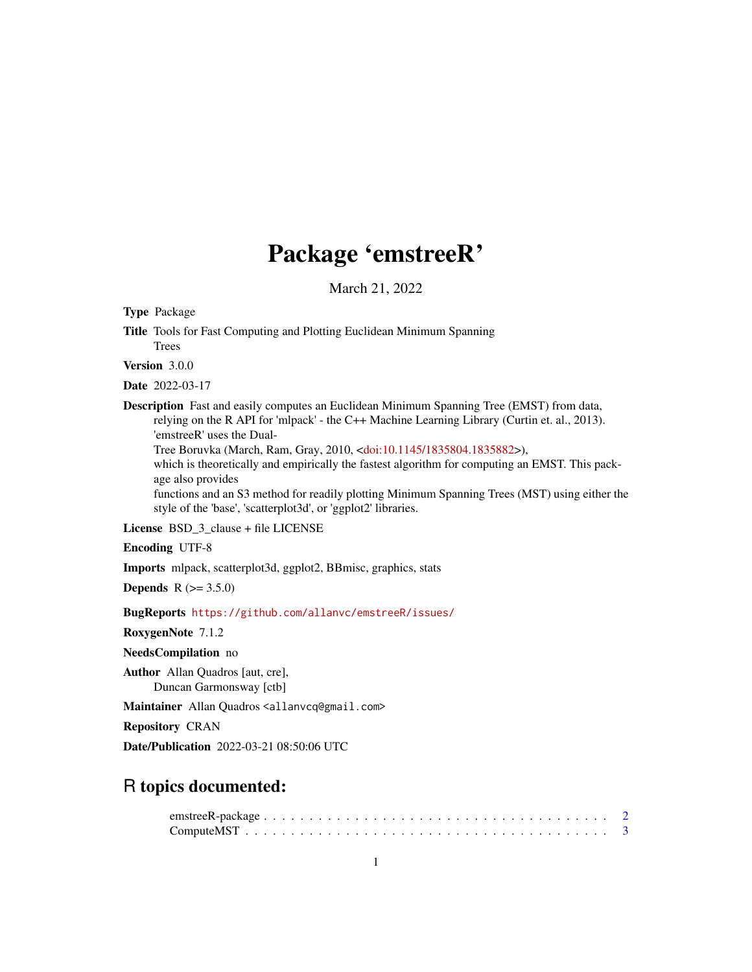## Package 'emstreeR'

March 21, 2022

<span id="page-0-0"></span>Type Package

Title Tools for Fast Computing and Plotting Euclidean Minimum Spanning Trees

Version 3.0.0

Date 2022-03-17

Description Fast and easily computes an Euclidean Minimum Spanning Tree (EMST) from data, relying on the R API for 'mlpack' - the C++ Machine Learning Library (Curtin et. al., 2013). 'emstreeR' uses the Dual-

Tree Boruvka (March, Ram, Gray, 2010, [<doi:10.1145/1835804.1835882>](https://doi.org/10.1145/1835804.1835882)),

which is theoretically and empirically the fastest algorithm for computing an EMST. This package also provides

functions and an S3 method for readily plotting Minimum Spanning Trees (MST) using either the style of the 'base', 'scatterplot3d', or 'ggplot2' libraries.

License BSD 3 clause + file LICENSE

Encoding UTF-8

Imports mlpack, scatterplot3d, ggplot2, BBmisc, graphics, stats

**Depends** R  $(>= 3.5.0)$ 

BugReports <https://github.com/allanvc/emstreeR/issues/>

RoxygenNote 7.1.2

NeedsCompilation no

Author Allan Quadros [aut, cre], Duncan Garmonsway [ctb]

Maintainer Allan Quadros <allanvcq@gmail.com>

Repository CRAN

Date/Publication 2022-03-21 08:50:06 UTC

### R topics documented: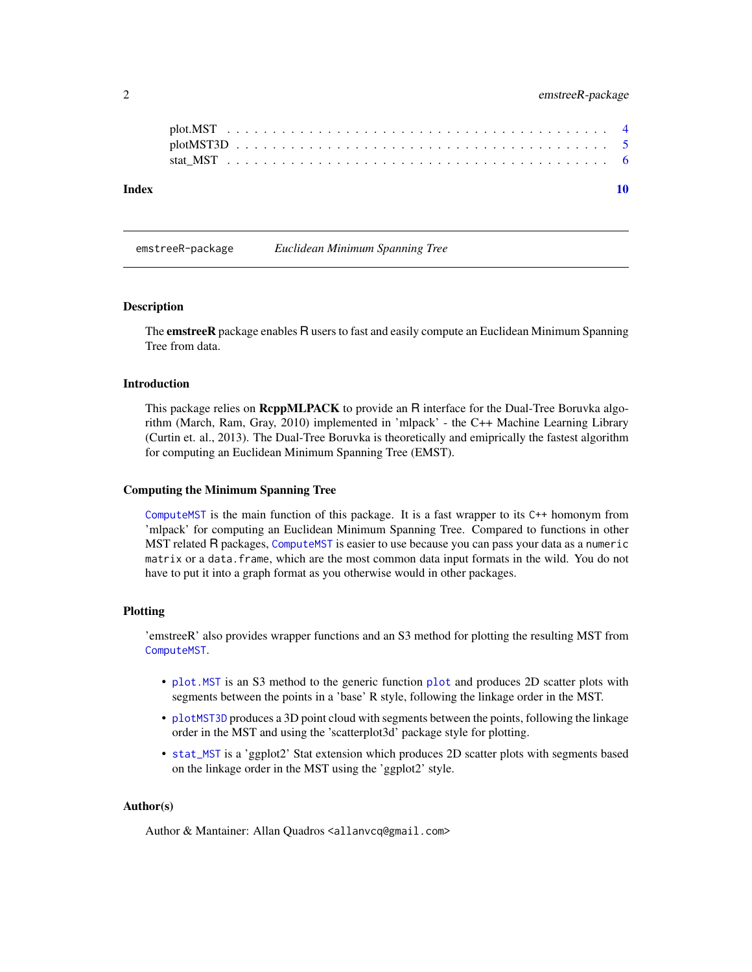<span id="page-1-0"></span>

emstreeR-package *Euclidean Minimum Spanning Tree*

#### Description

The **emstreeR** package enables R users to fast and easily compute an Euclidean Minimum Spanning Tree from data.

#### Introduction

This package relies on **ReppMLPACK** to provide an R interface for the Dual-Tree Boruvka algorithm (March, Ram, Gray, 2010) implemented in 'mlpack' - the C++ Machine Learning Library (Curtin et. al., 2013). The Dual-Tree Boruvka is theoretically and emiprically the fastest algorithm for computing an Euclidean Minimum Spanning Tree (EMST).

#### Computing the Minimum Spanning Tree

[ComputeMST](#page-2-1) is the main function of this package. It is a fast wrapper to its C++ homonym from 'mlpack' for computing an Euclidean Minimum Spanning Tree. Compared to functions in other MST related R packages, [ComputeMST](#page-2-1) is easier to use because you can pass your data as a numeric matrix or a data.frame, which are the most common data input formats in the wild. You do not have to put it into a graph format as you otherwise would in other packages.

#### Plotting

'emstreeR' also provides wrapper functions and an S3 method for plotting the resulting MST from [ComputeMST](#page-2-1).

- [plot.MST](#page-3-1) is an S3 method to the generic function [plot](#page-0-0) and produces 2D scatter plots with segments between the points in a 'base' R style, following the linkage order in the MST.
- [plotMST3D](#page-4-1) produces a 3D point cloud with segments between the points, following the linkage order in the MST and using the 'scatterplot3d' package style for plotting.
- [stat\\_MST](#page-5-1) is a 'ggplot2' Stat extension which produces 2D scatter plots with segments based on the linkage order in the MST using the 'ggplot2' style.

#### Author(s)

Author & Mantainer: Allan Quadros <allanvcq@gmail.com>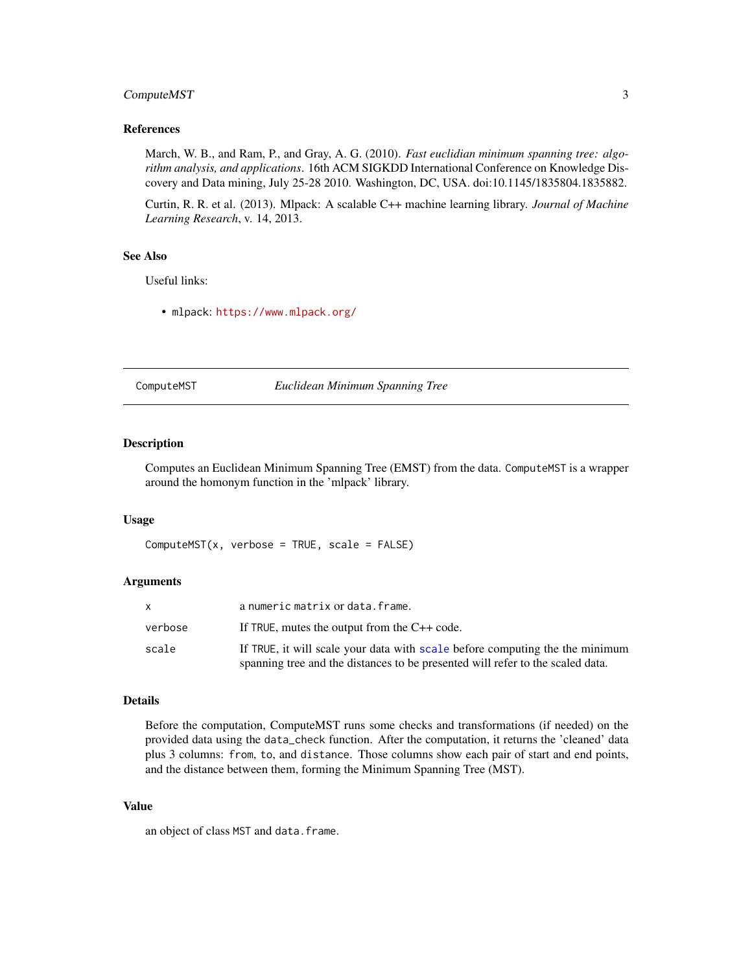#### <span id="page-2-0"></span>Compute MST 3

#### References

March, W. B., and Ram, P., and Gray, A. G. (2010). *Fast euclidian minimum spanning tree: algorithm analysis, and applications*. 16th ACM SIGKDD International Conference on Knowledge Discovery and Data mining, July 25-28 2010. Washington, DC, USA. doi:10.1145/1835804.1835882.

Curtin, R. R. et al. (2013). Mlpack: A scalable C++ machine learning library. *Journal of Machine Learning Research*, v. 14, 2013.

#### See Also

Useful links:

• mlpack: <https://www.mlpack.org/>

<span id="page-2-1"></span>ComputeMST *Euclidean Minimum Spanning Tree*

#### Description

Computes an Euclidean Minimum Spanning Tree (EMST) from the data. ComputeMST is a wrapper around the homonym function in the 'mlpack' library.

#### Usage

 $ComputerMST(x, verbose = TRUE, scale = FALSE)$ 

#### Arguments

|         | a numeric matrix or data. frame.                                               |
|---------|--------------------------------------------------------------------------------|
| verbose | If TRUE, mutes the output from the $C++$ code.                                 |
| scale   | If TRUE, it will scale your data with scale before computing the the minimum   |
|         | spanning tree and the distances to be presented will refer to the scaled data. |

#### Details

Before the computation, ComputeMST runs some checks and transformations (if needed) on the provided data using the data\_check function. After the computation, it returns the 'cleaned' data plus 3 columns: from, to, and distance. Those columns show each pair of start and end points, and the distance between them, forming the Minimum Spanning Tree (MST).

#### Value

an object of class MST and data.frame.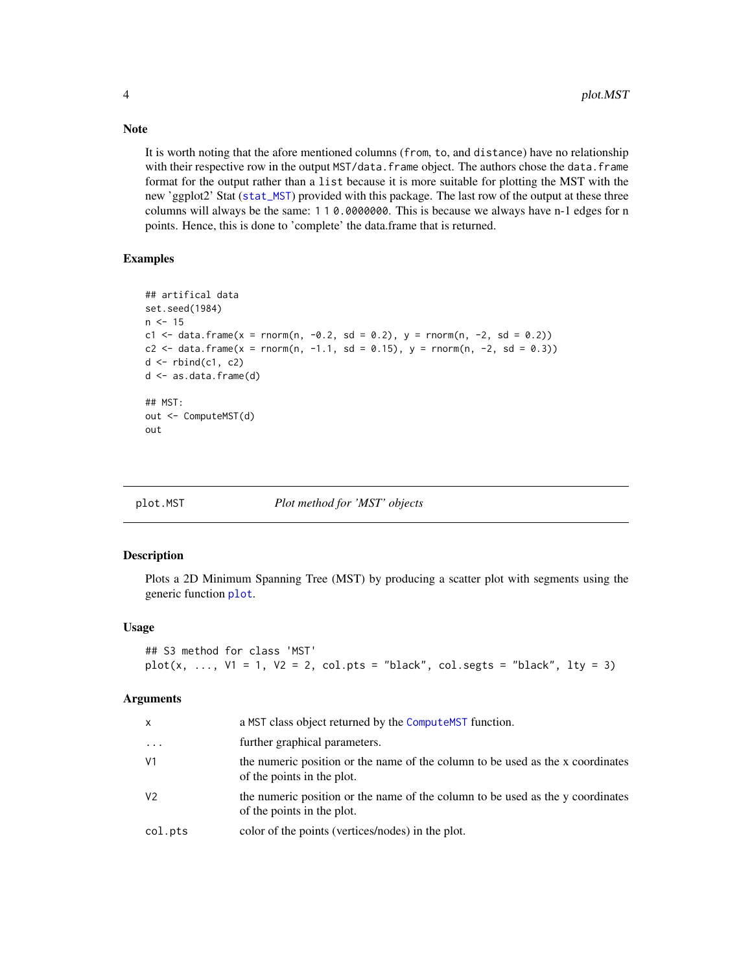It is worth noting that the afore mentioned columns (from, to, and distance) have no relationship with their respective row in the output MST/data. frame object. The authors chose the data. frame format for the output rather than a list because it is more suitable for plotting the MST with the new 'ggplot2' Stat ([stat\\_MST](#page-5-1)) provided with this package. The last row of the output at these three columns will always be the same: 1 1 0.0000000. This is because we always have n-1 edges for n points. Hence, this is done to 'complete' the data.frame that is returned.

#### Examples

```
## artifical data
set.seed(1984)
n < -15c1 <- data.frame(x = rnorm(n, -0.2, sd = 0.2), y = rnorm(n, -2, sd = 0.2))
c2 <- data.frame(x = rnorm(n, -1.1, sd = 0.15), y = rnorm(n, -2, sd = 0.3))
d \leq -rbind(c1, c2)d <- as.data.frame(d)
## MST:
out <- ComputeMST(d)
out
```
<span id="page-3-1"></span>

#### plot.MST *Plot method for 'MST' objects*

#### Description

Plots a 2D Minimum Spanning Tree (MST) by producing a scatter plot with segments using the generic function [plot](#page-0-0).

#### Usage

```
## S3 method for class 'MST'
plot(x, ..., V1 = 1, V2 = 2, col.pts = "black", col.segts = "black", ly = 3)
```
#### **Arguments**

| x              | a MST class object returned by the ComputeMST function.                                                      |
|----------------|--------------------------------------------------------------------------------------------------------------|
| $\cdot$        | further graphical parameters.                                                                                |
| V <sub>1</sub> | the numeric position or the name of the column to be used as the x coordinates<br>of the points in the plot. |
| V <sub>2</sub> | the numeric position or the name of the column to be used as the y coordinates<br>of the points in the plot. |
| col.pts        | color of the points (vertices/nodes) in the plot.                                                            |

<span id="page-3-0"></span>

#### Note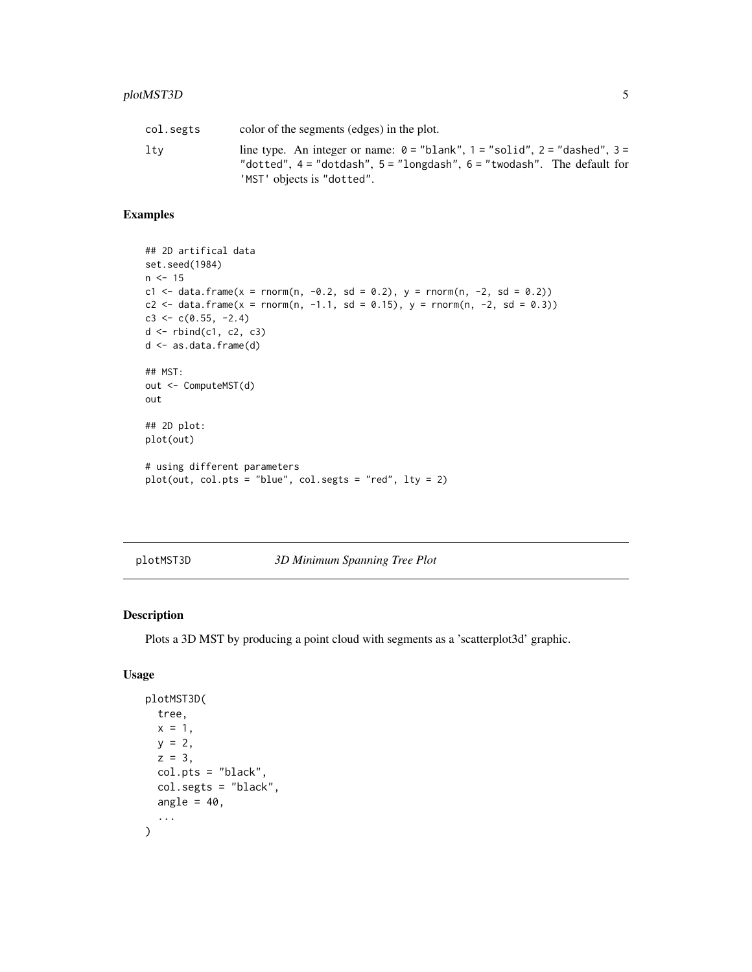#### <span id="page-4-0"></span>plotMST3D 5

| col.segts | color of the segments (edges) in the plot.                                                                                                                                                       |
|-----------|--------------------------------------------------------------------------------------------------------------------------------------------------------------------------------------------------|
| ltv       | line type. An integer or name: $\theta$ = "blank", 1 = "solid", 2 = "dashed", 3 =<br>"dotted", $4 =$ "dotdash", $5 =$ "longdash", $6 =$ "twodash". The default for<br>'MST' objects is "dotted". |

#### Examples

```
## 2D artifical data
set.seed(1984)
n < -15c1 <- data.frame(x = rnorm(n, -0.2, sd = 0.2), y = rnorm(n, -2, sd = 0.2))
c2 <- data.frame(x = rnorm(n, -1.1, sd = 0.15), y = rnorm(n, -2, sd = 0.3))
c3 \leq c(0.55, -2.4)d <- rbind(c1, c2, c3)
d <- as.data.frame(d)
## MST:
out <- ComputeMST(d)
out
## 2D plot:
plot(out)
# using different parameters
plot(out, col.pts = "blue", col.segts = "red", lty = 2)
```
<span id="page-4-1"></span>plotMST3D *3D Minimum Spanning Tree Plot*

#### Description

Plots a 3D MST by producing a point cloud with segments as a 'scatterplot3d' graphic.

#### Usage

```
plotMST3D(
  tree,
  x = 1,
  y = 2,
  z = 3,
  col.pts = "black",
  col.segts = "black",
  angle = 40,
  ...
\mathcal{L}
```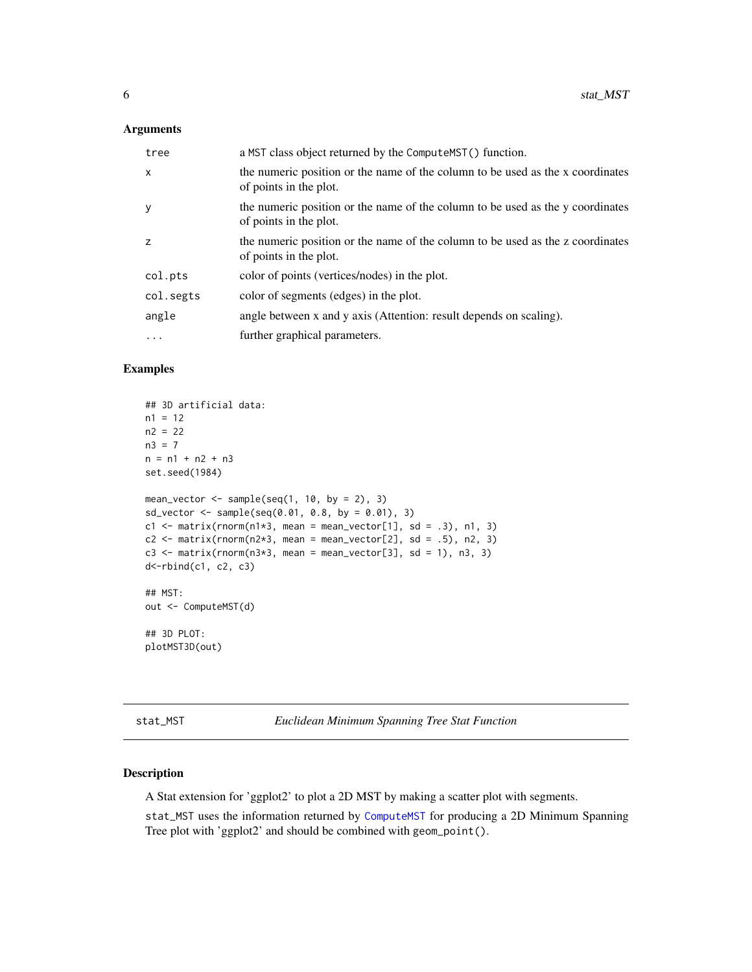#### <span id="page-5-0"></span>Arguments

| tree         | a MST class object returned by the Compute MST () function.                                              |
|--------------|----------------------------------------------------------------------------------------------------------|
| $\mathsf{x}$ | the numeric position or the name of the column to be used as the x coordinates<br>of points in the plot. |
| У            | the numeric position or the name of the column to be used as the y coordinates<br>of points in the plot. |
| z            | the numeric position or the name of the column to be used as the z coordinates<br>of points in the plot. |
| col.pts      | color of points (vertices/nodes) in the plot.                                                            |
| col.segts    | color of segments (edges) in the plot.                                                                   |
| angle        | angle between x and y axis (Attention: result depends on scaling).                                       |
| .            | further graphical parameters.                                                                            |

#### Examples

```
## 3D artificial data:
n1 = 12n2 = 22n3 = 7
n = n1 + n2 + n3set.seed(1984)
mean_vector \leq sample(seq(1, 10, by = 2), 3)
sd_vector <- sample(seq(0.01, 0.8, by = 0.01), 3)
c1 <- matrix(rnorm(n1*3, mean = mean_vector[1], sd = .3), n1, 3)
c2 \le - matrix(rnorm(n2*3, mean = mean_vector[2], sd = .5), n2, 3)
c3 \leq matrix(rnorm(n3*3, mean = mean_vector[3], sd = 1), n3, 3)
d<-rbind(c1, c2, c3)
## MST:
out <- ComputeMST(d)
## 3D PLOT:
plotMST3D(out)
```
<span id="page-5-1"></span>stat\_MST *Euclidean Minimum Spanning Tree Stat Function*

#### Description

A Stat extension for 'ggplot2' to plot a 2D MST by making a scatter plot with segments.

stat\_MST uses the information returned by [ComputeMST](#page-2-1) for producing a 2D Minimum Spanning Tree plot with 'ggplot2' and should be combined with geom\_point().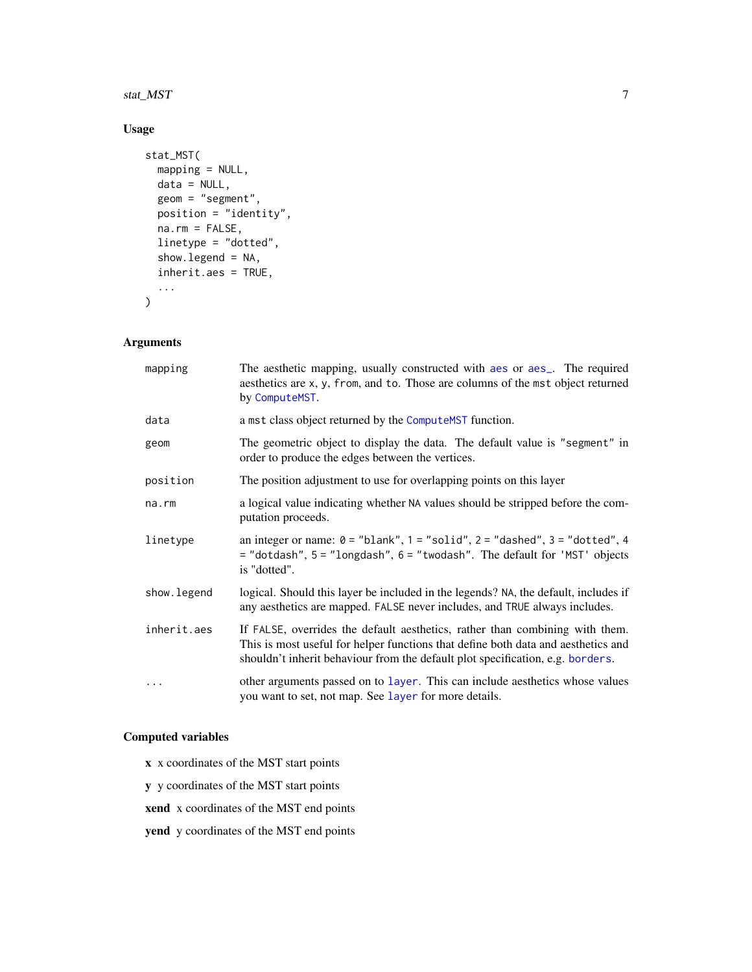#### <span id="page-6-0"></span>stat\_MST 7 7

#### Usage

```
stat_MST(
 mapping = NULL,
 data = NULL,geom = "segment",
 position = "identity",na.rm = FALSE,
 linetype = "dotted",
  show.legend = NA,
 inherit.aes = TRUE,
  ...
\mathcal{L}
```
#### Arguments

| mapping     | The aesthetic mapping, usually constructed with a es or a es_. The required<br>aesthetics are x, y, from, and to. Those are columns of the mst object returned<br>by ComputeMST.                                                                    |
|-------------|-----------------------------------------------------------------------------------------------------------------------------------------------------------------------------------------------------------------------------------------------------|
| data        | a mst class object returned by the Compute MST function.                                                                                                                                                                                            |
| geom        | The geometric object to display the data. The default value is "segment" in<br>order to produce the edges between the vertices.                                                                                                                     |
| position    | The position adjustment to use for overlapping points on this layer                                                                                                                                                                                 |
| na.rm       | a logical value indicating whether NA values should be stripped before the com-<br>putation proceeds.                                                                                                                                               |
| linetype    | an integer or name: $0 =$ "blank", $1 =$ "solid", $2 =$ "dashed", $3 =$ "dotted", 4<br>= "dotdash", 5 = "longdash", 6 = "twodash". The default for 'MST' objects<br>is "dotted".                                                                    |
| show.legend | logical. Should this layer be included in the legends? NA, the default, includes if<br>any aesthetics are mapped. FALSE never includes, and TRUE always includes.                                                                                   |
| inherit.aes | If FALSE, overrides the default aesthetics, rather than combining with them.<br>This is most useful for helper functions that define both data and aesthetics and<br>shouldn't inherit behaviour from the default plot specification, e.g. borders. |
| $\cdots$    | other arguments passed on to layer. This can include aesthetics whose values<br>you want to set, not map. See layer for more details.                                                                                                               |

#### Computed variables

- x x coordinates of the MST start points
- y y coordinates of the MST start points
- xend x coordinates of the MST end points
- yend y coordinates of the MST end points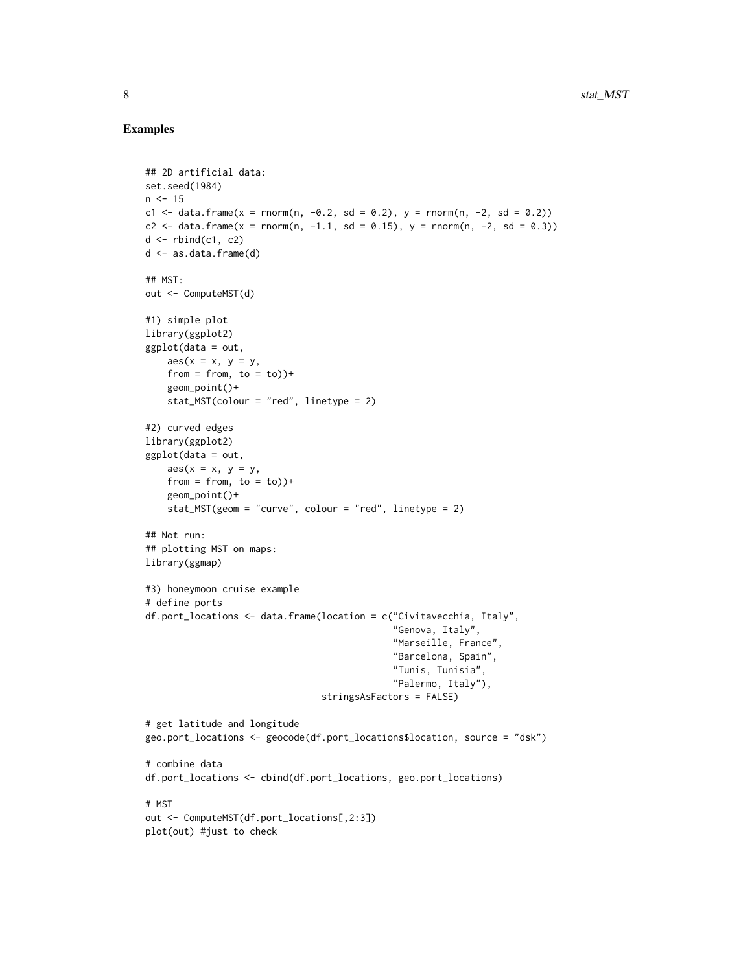#### Examples

```
## 2D artificial data:
set.seed(1984)
n < -15c1 <- data.frame(x = rnorm(n, -0.2, sd = 0.2), y = rnorm(n, -2, sd = 0.2))
c2 <- data.frame(x = rnorm(n, -1.1, sd = 0.15), y = rnorm(n, -2, sd = 0.3))
d \leftarrow \text{rbind}(c1, c2)d <- as.data.frame(d)
## MST:
out <- ComputeMST(d)
#1) simple plot
library(ggplot2)
ggplot(data = out,
   aes(x = x, y = y,from = from, to = to) +
    geom_point()+
    stat_MST(colour = "red", linetype = 2)
#2) curved edges
library(ggplot2)
ggplot(data = out,
   aes(x = x, y = y,from = from, to = to))+
   geom_point()+
   stat_MST(geom = "curve", colour = "red", linetype = 2)
## Not run:
## plotting MST on maps:
library(ggmap)
#3) honeymoon cruise example
# define ports
df.port_locations <- data.frame(location = c("Civitavecchia, Italy",
                                              "Genova, Italy",
                                              "Marseille, France",
                                              "Barcelona, Spain",
                                              "Tunis, Tunisia",
                                              "Palermo, Italy"),
                                 stringsAsFactors = FALSE)
# get latitude and longitude
geo.port_locations <- geocode(df.port_locations$location, source = "dsk")
# combine data
df.port_locations <- cbind(df.port_locations, geo.port_locations)
# MST
out <- ComputeMST(df.port_locations[,2:3])
plot(out) #just to check
```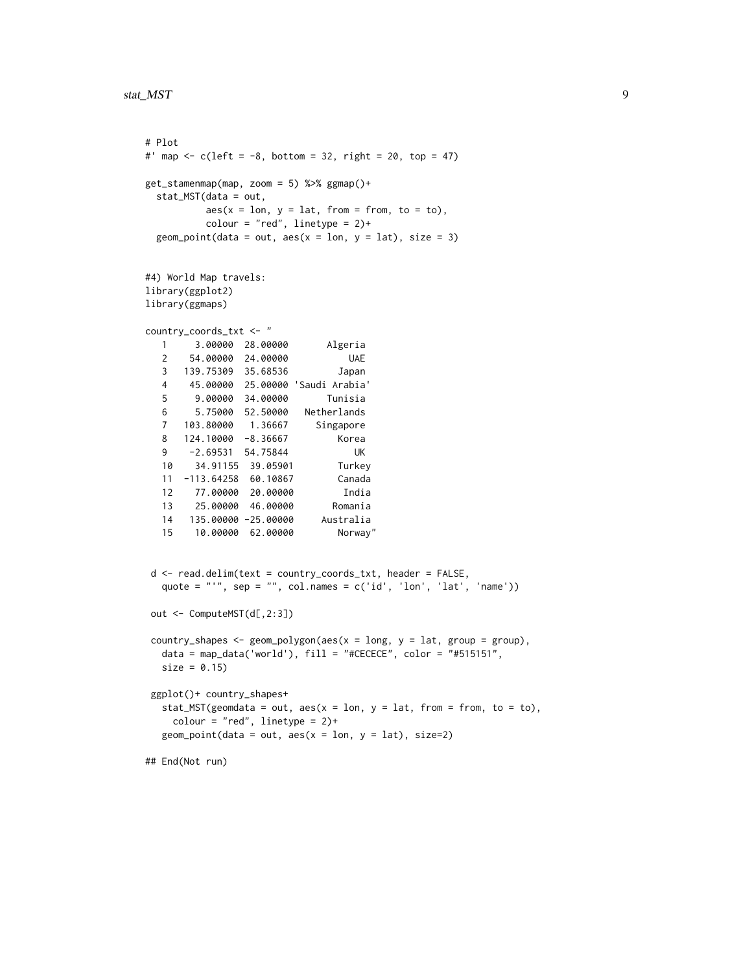```
# Plot
#' map <- c(\text{left} = -8, \text{ bottom} = 32, \text{ right} = 20, \text{ top} = 47)get_stamenmap(map, zoom = 5) %>% ggmap()+
 stat_MST(data = out,
         aes(x = lon, y = lat, from = from, to = to),colour = "red", linetype = 2)+
 geom_point(data = out, aes(x = lon, y = lat), size = 3)
#4) World Map travels:
library(ggplot2)
library(ggmaps)
country_coords_txt <- "
  1 3.00000 28.00000 Algeria
  2 54.00000 24.00000 UAE
  3 139.75309 35.68536 Japan
  4 45.00000 25.00000 'Saudi Arabia'
  5 9.00000 34.00000 Tunisia
  6 5.75000 52.50000 Netherlands
  7 103.80000 1.36667 Singapore
  8 124.10000 -8.36667 Korea
  9 -2.69531 54.75844 UK
  10 34.91155 39.05901 Turkey
  11 -113.64258 60.10867 Canada
  12 77.00000 20.00000 India
  13 25.00000 46.00000 Romania
  14 135.00000 -25.00000 Australia
  15 10.00000 62.00000 Norway"
d <- read.delim(text = country_coords_txt, header = FALSE,
  quote = "'', sep = "'', col.names = c('id', 'lon', 'lat', 'name'))
out <- ComputeMST(d[,2:3])
country_shapes <- geom_polygon(aes(x = long, y = lat, group = group),
  data = map_data('world'), fill = "#CECECE", color = "#515151",
  size = 0.15ggplot()+ country_shapes+
  stat_MST(geomdata = out, aes(x = lon, y = lat, from = from, to = to),
    color = "red", linetype = 2)+geom\_point(data = out, aes(x = lon, y = lat), size=2)## End(Not run)
```